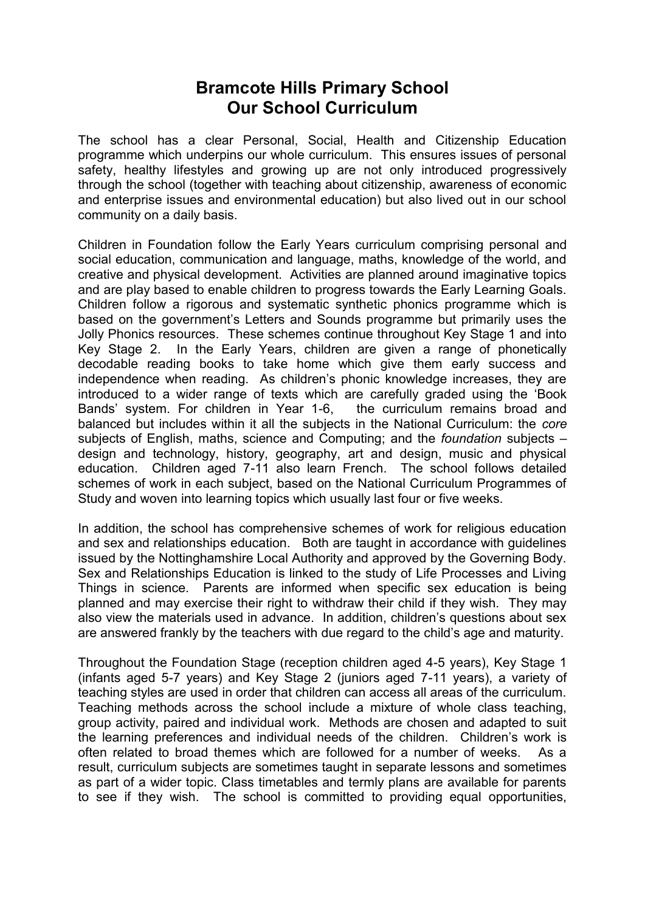# **Bramcote Hills Primary School Our School Curriculum**

The school has a clear Personal, Social, Health and Citizenship Education programme which underpins our whole curriculum. This ensures issues of personal safety, healthy lifestyles and growing up are not only introduced progressively through the school (together with teaching about citizenship, awareness of economic and enterprise issues and environmental education) but also lived out in our school community on a daily basis.

Children in Foundation follow the Early Years curriculum comprising personal and social education, communication and language, maths, knowledge of the world, and creative and physical development. Activities are planned around imaginative topics and are play based to enable children to progress towards the Early Learning Goals. Children follow a rigorous and systematic synthetic phonics programme which is based on the government's Letters and Sounds programme but primarily uses the Jolly Phonics resources. These schemes continue throughout Key Stage 1 and into Key Stage 2. In the Early Years, children are given a range of phonetically decodable reading books to take home which give them early success and independence when reading. As children's phonic knowledge increases, they are introduced to a wider range of texts which are carefully graded using the 'Book Bands' system. For children in Year 1-6, the curriculum remains broad and balanced but includes within it all the subjects in the National Curriculum: the *core* subjects of English, maths, science and Computing; and the *foundation* subjects – design and technology, history, geography, art and design, music and physical education. Children aged 7-11 also learn French. The school follows detailed schemes of work in each subject, based on the National Curriculum Programmes of Study and woven into learning topics which usually last four or five weeks.

In addition, the school has comprehensive schemes of work for religious education and sex and relationships education. Both are taught in accordance with guidelines issued by the Nottinghamshire Local Authority and approved by the Governing Body. Sex and Relationships Education is linked to the study of Life Processes and Living Things in science. Parents are informed when specific sex education is being planned and may exercise their right to withdraw their child if they wish. They may also view the materials used in advance. In addition, children's questions about sex are answered frankly by the teachers with due regard to the child's age and maturity.

Throughout the Foundation Stage (reception children aged 4-5 years), Key Stage 1 (infants aged 5-7 years) and Key Stage 2 (juniors aged 7-11 years), a variety of teaching styles are used in order that children can access all areas of the curriculum. Teaching methods across the school include a mixture of whole class teaching, group activity, paired and individual work. Methods are chosen and adapted to suit the learning preferences and individual needs of the children. Children's work is often related to broad themes which are followed for a number of weeks. As a result, curriculum subjects are sometimes taught in separate lessons and sometimes as part of a wider topic. Class timetables and termly plans are available for parents to see if they wish. The school is committed to providing equal opportunities,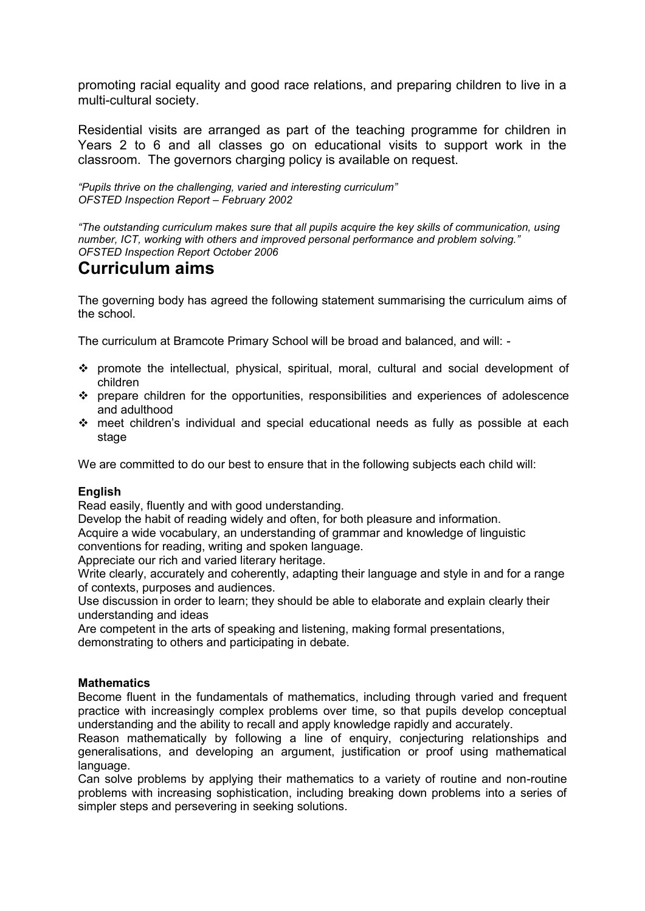promoting racial equality and good race relations, and preparing children to live in a multi-cultural society.

Residential visits are arranged as part of the teaching programme for children in Years 2 to 6 and all classes go on educational visits to support work in the classroom. The governors charging policy is available on request.

*"Pupils thrive on the challenging, varied and interesting curriculum" OFSTED Inspection Report – February 2002*

*"The outstanding curriculum makes sure that all pupils acquire the key skills of communication, using number, ICT, working with others and improved personal performance and problem solving." OFSTED Inspection Report October 2006*

## **Curriculum aims**

The governing body has agreed the following statement summarising the curriculum aims of the school.

The curriculum at Bramcote Primary School will be broad and balanced, and will: -

- promote the intellectual, physical, spiritual, moral, cultural and social development of children
- prepare children for the opportunities, responsibilities and experiences of adolescence and adulthood
- meet children's individual and special educational needs as fully as possible at each stage

We are committed to do our best to ensure that in the following subjects each child will:

#### **English**

Read easily, fluently and with good understanding.

Develop the habit of reading widely and often, for both pleasure and information.

Acquire a wide vocabulary, an understanding of grammar and knowledge of linguistic conventions for reading, writing and spoken language.

Appreciate our rich and varied literary heritage.

Write clearly, accurately and coherently, adapting their language and style in and for a range of contexts, purposes and audiences.

Use discussion in order to learn; they should be able to elaborate and explain clearly their understanding and ideas

Are competent in the arts of speaking and listening, making formal presentations,

demonstrating to others and participating in debate.

#### **Mathematics**

Become fluent in the fundamentals of mathematics, including through varied and frequent practice with increasingly complex problems over time, so that pupils develop conceptual understanding and the ability to recall and apply knowledge rapidly and accurately.

Reason mathematically by following a line of enquiry, conjecturing relationships and generalisations, and developing an argument, justification or proof using mathematical language.

Can solve problems by applying their mathematics to a variety of routine and non-routine problems with increasing sophistication, including breaking down problems into a series of simpler steps and persevering in seeking solutions.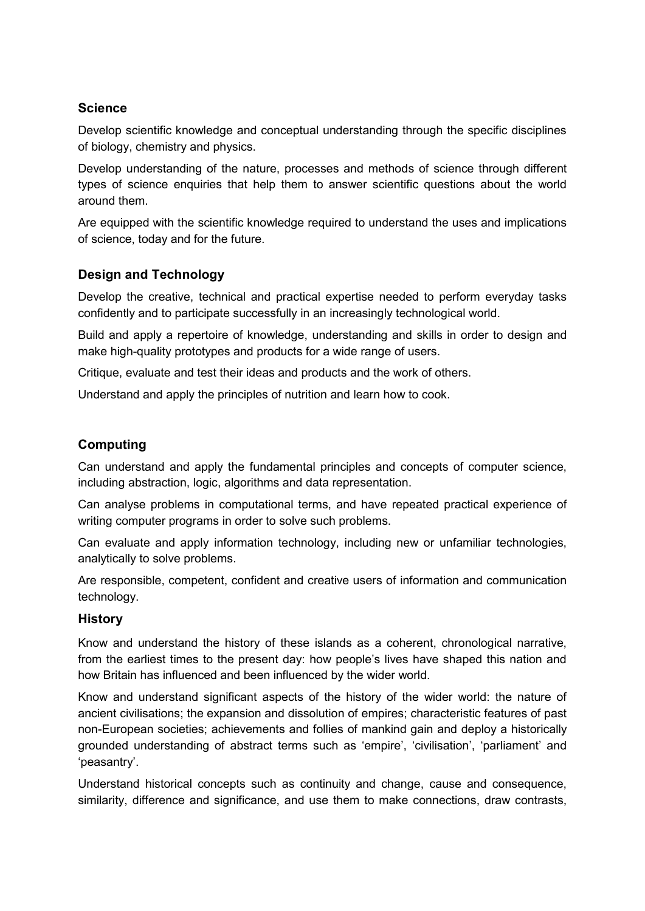#### **Science**

Develop scientific knowledge and conceptual understanding through the specific disciplines of biology, chemistry and physics.

Develop understanding of the nature, processes and methods of science through different types of science enquiries that help them to answer scientific questions about the world around them.

Are equipped with the scientific knowledge required to understand the uses and implications of science, today and for the future.

### **Design and Technology**

Develop the creative, technical and practical expertise needed to perform everyday tasks confidently and to participate successfully in an increasingly technological world.

Build and apply a repertoire of knowledge, understanding and skills in order to design and make high-quality prototypes and products for a wide range of users.

Critique, evaluate and test their ideas and products and the work of others.

Understand and apply the principles of nutrition and learn how to cook.

### **Computing**

Can understand and apply the fundamental principles and concepts of computer science, including abstraction, logic, algorithms and data representation.

Can analyse problems in computational terms, and have repeated practical experience of writing computer programs in order to solve such problems.

Can evaluate and apply information technology, including new or unfamiliar technologies, analytically to solve problems.

Are responsible, competent, confident and creative users of information and communication technology.

#### **History**

Know and understand the history of these islands as a coherent, chronological narrative, from the earliest times to the present day: how people's lives have shaped this nation and how Britain has influenced and been influenced by the wider world.

Know and understand significant aspects of the history of the wider world: the nature of ancient civilisations; the expansion and dissolution of empires; characteristic features of past non-European societies; achievements and follies of mankind gain and deploy a historically grounded understanding of abstract terms such as 'empire', 'civilisation', 'parliament' and 'peasantry'.

Understand historical concepts such as continuity and change, cause and consequence, similarity, difference and significance, and use them to make connections, draw contrasts,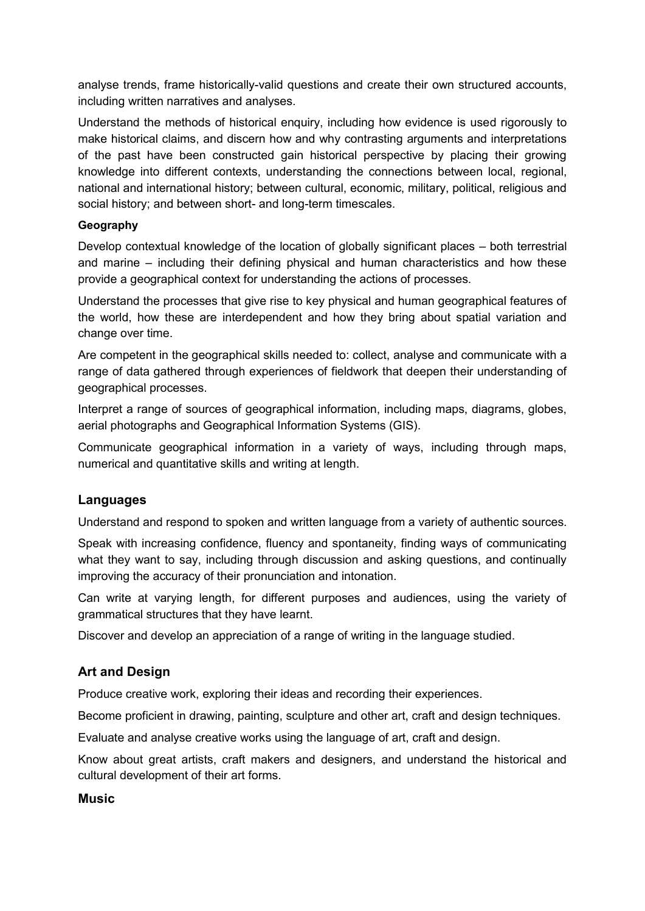analyse trends, frame historically-valid questions and create their own structured accounts, including written narratives and analyses.

Understand the methods of historical enquiry, including how evidence is used rigorously to make historical claims, and discern how and why contrasting arguments and interpretations of the past have been constructed gain historical perspective by placing their growing knowledge into different contexts, understanding the connections between local, regional, national and international history; between cultural, economic, military, political, religious and social history; and between short- and long-term timescales.

#### **Geography**

Develop contextual knowledge of the location of globally significant places – both terrestrial and marine – including their defining physical and human characteristics and how these provide a geographical context for understanding the actions of processes.

Understand the processes that give rise to key physical and human geographical features of the world, how these are interdependent and how they bring about spatial variation and change over time.

Are competent in the geographical skills needed to: collect, analyse and communicate with a range of data gathered through experiences of fieldwork that deepen their understanding of geographical processes.

Interpret a range of sources of geographical information, including maps, diagrams, globes, aerial photographs and Geographical Information Systems (GIS).

Communicate geographical information in a variety of ways, including through maps, numerical and quantitative skills and writing at length.

#### **Languages**

Understand and respond to spoken and written language from a variety of authentic sources.

Speak with increasing confidence, fluency and spontaneity, finding ways of communicating what they want to say, including through discussion and asking questions, and continually improving the accuracy of their pronunciation and intonation.

Can write at varying length, for different purposes and audiences, using the variety of grammatical structures that they have learnt.

Discover and develop an appreciation of a range of writing in the language studied.

### **Art and Design**

Produce creative work, exploring their ideas and recording their experiences.

Become proficient in drawing, painting, sculpture and other art, craft and design techniques.

Evaluate and analyse creative works using the language of art, craft and design.

Know about great artists, craft makers and designers, and understand the historical and cultural development of their art forms.

#### **Music**